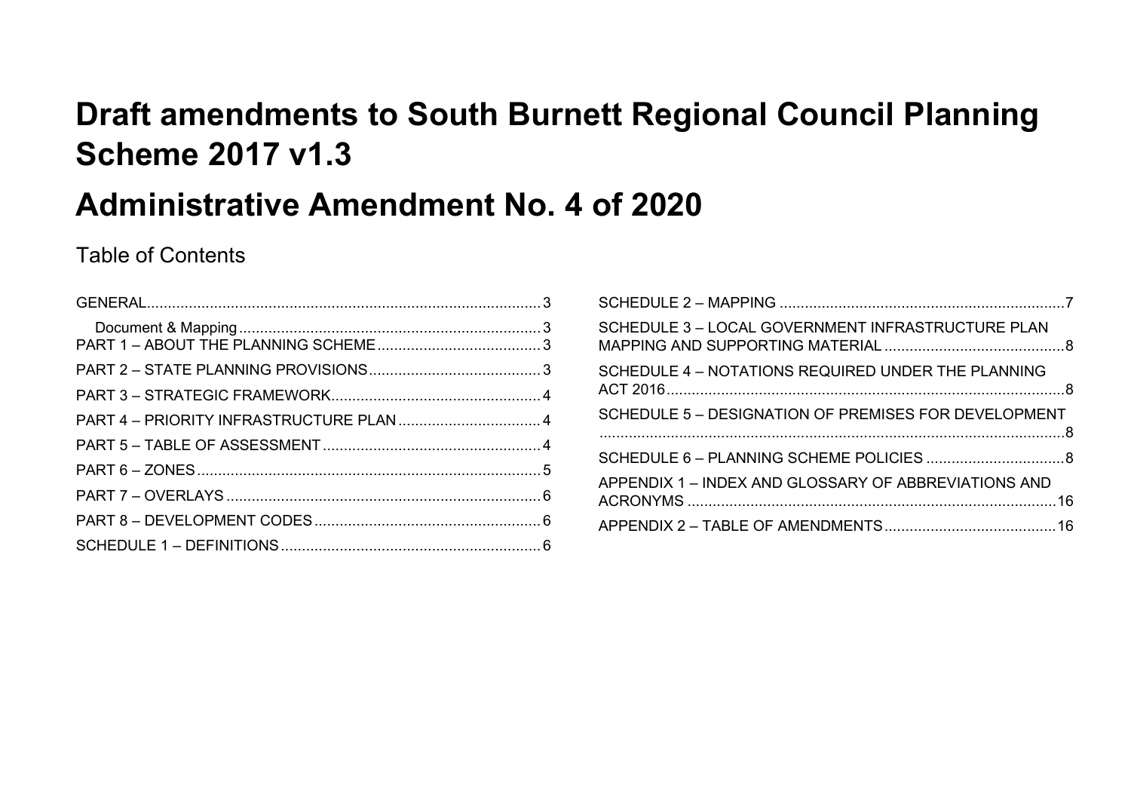## **Draft amendments to South Burnett Regional Council Planning Scheme 2017 v1.3**

## **Administrative Amendment No. 4 of 2020**

## Table of Contents

| SCHEDULE 3 - LOCAL GOVERNMENT INFRASTRUCTURE PLAN    |  |
|------------------------------------------------------|--|
| SCHEDULE 4 - NOTATIONS REQUIRED UNDER THE PLANNING   |  |
| SCHEDULE 5 - DESIGNATION OF PREMISES FOR DEVELOPMENT |  |
|                                                      |  |
| APPENDIX 1 - INDEX AND GLOSSARY OF ABBREVIATIONS AND |  |
|                                                      |  |
|                                                      |  |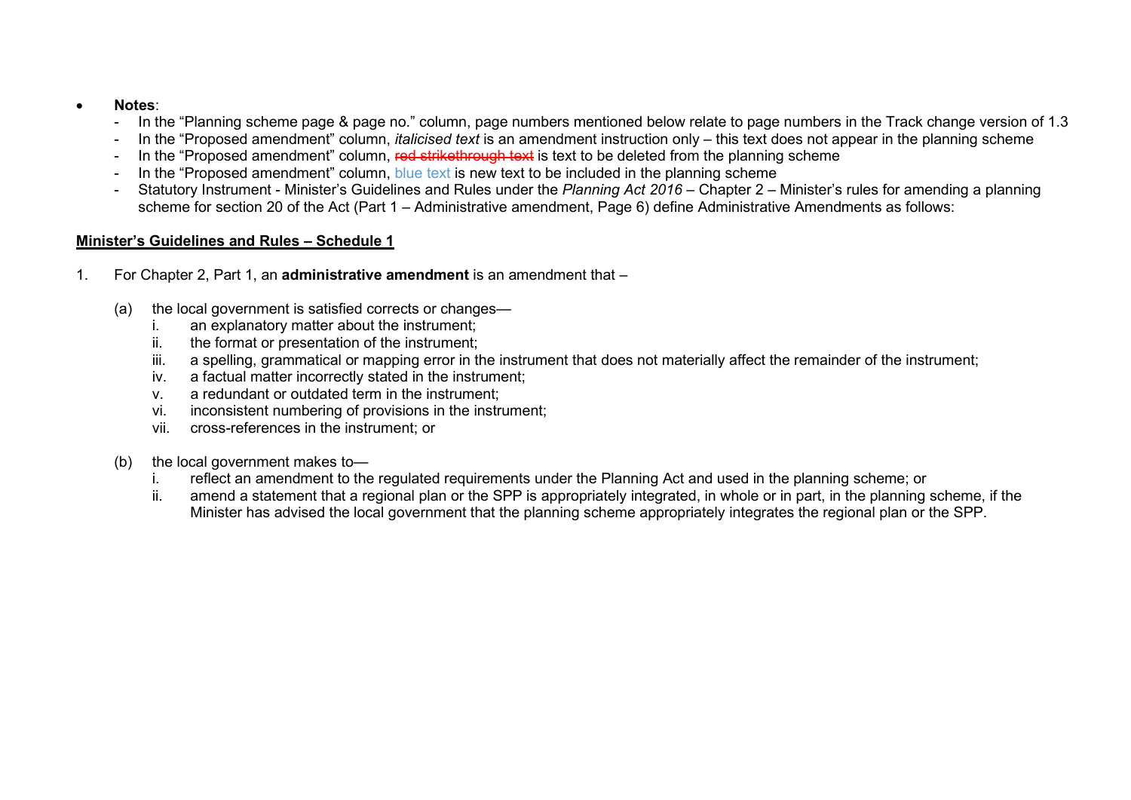- **Notes**:
	- In the "Planning scheme page & page no." column, page numbers mentioned below relate to page numbers in the Track change version of 1.3
	- In the "Proposed amendment" column, *italicised text* is an amendment instruction only this text does not appear in the planning scheme
	- In the "Proposed amendment" column, red strikethrough text is text to be deleted from the planning scheme
	- In the "Proposed amendment" column, blue text is new text to be included in the planning scheme
	- Statutory Instrument Minister's Guidelines and Rules under the *Planning Act 2016* Chapter 2 Minister's rules for amending a planning scheme for section 20 of the Act (Part 1 – Administrative amendment, Page 6) define Administrative Amendments as follows:

## **Minister's Guidelines and Rules – Schedule 1**

- 1. For Chapter 2, Part 1, an **administrative amendment** is an amendment that
	- (a) the local government is satisfied corrects or changes
		- i. an explanatory matter about the instrument;
		- ii. the format or presentation of the instrument;
		- iii. a spelling, grammatical or mapping error in the instrument that does not materially affect the remainder of the instrument;
		- iv. a factual matter incorrectly stated in the instrument;
		- v. a redundant or outdated term in the instrument;
		- vi. inconsistent numbering of provisions in the instrument;
		- vii. cross-references in the instrument; or
	- (b) the local government makes to
		- reflect an amendment to the regulated requirements under the Planning Act and used in the planning scheme; or
		- ii. amend a statement that a regional plan or the SPP is appropriately integrated, in whole or in part, in the planning scheme, if the Minister has advised the local government that the planning scheme appropriately integrates the regional plan or the SPP.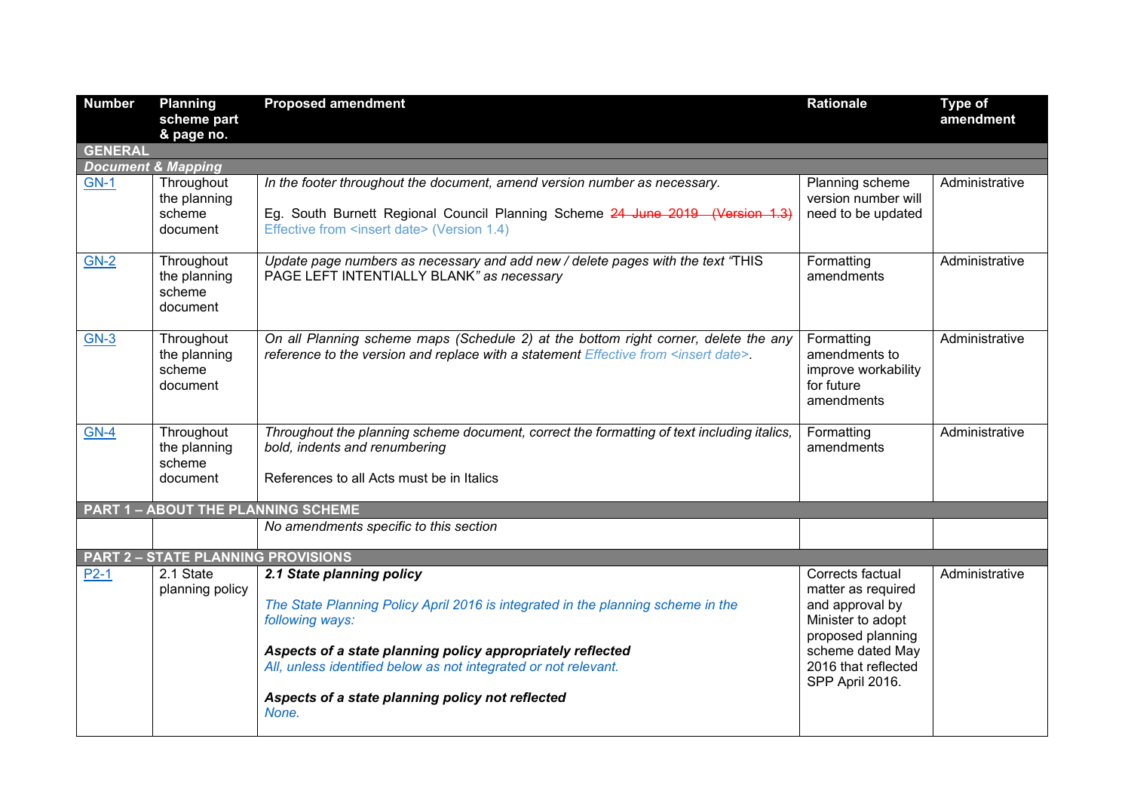<span id="page-2-3"></span><span id="page-2-2"></span><span id="page-2-1"></span><span id="page-2-0"></span>

| <b>Number</b>  | <b>Planning</b><br>scheme part                   | <b>Proposed amendment</b>                                                                                                                                                                                                                                                                                                      | <b>Rationale</b>                                                                                                                                                  | <b>Type of</b><br>amendment |
|----------------|--------------------------------------------------|--------------------------------------------------------------------------------------------------------------------------------------------------------------------------------------------------------------------------------------------------------------------------------------------------------------------------------|-------------------------------------------------------------------------------------------------------------------------------------------------------------------|-----------------------------|
|                | & page no.                                       |                                                                                                                                                                                                                                                                                                                                |                                                                                                                                                                   |                             |
| <b>GENERAL</b> |                                                  |                                                                                                                                                                                                                                                                                                                                |                                                                                                                                                                   |                             |
|                | <b>Document &amp; Mapping</b>                    |                                                                                                                                                                                                                                                                                                                                |                                                                                                                                                                   |                             |
| <b>GN-1</b>    | Throughout<br>the planning<br>scheme<br>document | In the footer throughout the document, amend version number as necessary.<br>Eg. South Burnett Regional Council Planning Scheme 24 June 2019 (Version 1.3)<br>Effective from <insert date=""> (Version 1.4)</insert>                                                                                                           | Planning scheme<br>version number will<br>need to be updated                                                                                                      | Administrative              |
| $GN-2$         | Throughout<br>the planning<br>scheme<br>document | Update page numbers as necessary and add new / delete pages with the text "THIS<br>PAGE LEFT INTENTIALLY BLANK" as necessary                                                                                                                                                                                                   | Formatting<br>amendments                                                                                                                                          | Administrative              |
| $GN-3$         | Throughout<br>the planning<br>scheme<br>document | On all Planning scheme maps (Schedule 2) at the bottom right corner, delete the any<br>reference to the version and replace with a statement Effective from <insert date="">.</insert>                                                                                                                                         | Formatting<br>amendments to<br>improve workability<br>for future<br>amendments                                                                                    | Administrative              |
| $GN-4$         | Throughout<br>the planning<br>scheme<br>document | Throughout the planning scheme document, correct the formatting of text including italics,<br>bold, indents and renumbering<br>References to all Acts must be in Italics                                                                                                                                                       | Formatting<br>amendments                                                                                                                                          | Administrative              |
|                |                                                  | <b>PART 1 - ABOUT THE PLANNING SCHEME</b>                                                                                                                                                                                                                                                                                      |                                                                                                                                                                   |                             |
|                |                                                  | No amendments specific to this section                                                                                                                                                                                                                                                                                         |                                                                                                                                                                   |                             |
|                | <b>PART 2 - STATE PLANNING PROVISIONS</b>        |                                                                                                                                                                                                                                                                                                                                |                                                                                                                                                                   |                             |
| $P2-1$         | 2.1 State<br>planning policy                     | 2.1 State planning policy<br>The State Planning Policy April 2016 is integrated in the planning scheme in the<br>following ways:<br>Aspects of a state planning policy appropriately reflected<br>All, unless identified below as not integrated or not relevant.<br>Aspects of a state planning policy not reflected<br>None. | Corrects factual<br>matter as required<br>and approval by<br>Minister to adopt<br>proposed planning<br>scheme dated May<br>2016 that reflected<br>SPP April 2016. | Administrative              |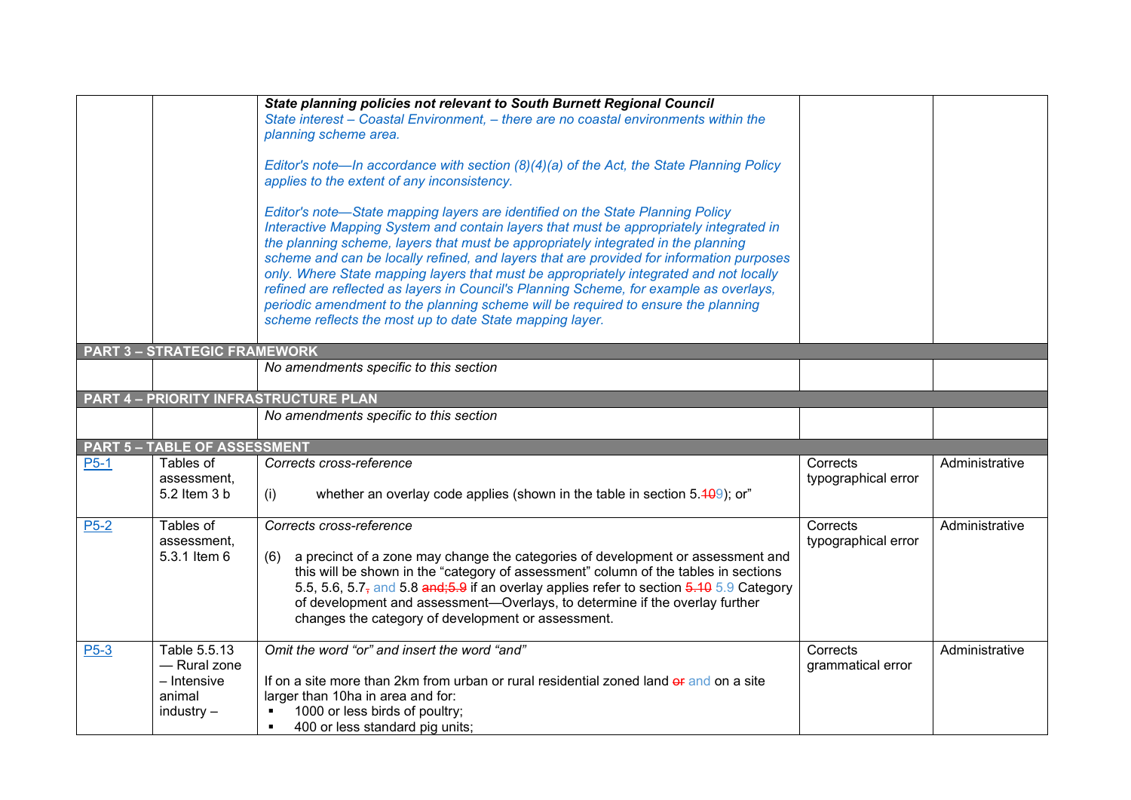<span id="page-3-2"></span><span id="page-3-1"></span><span id="page-3-0"></span>

|                   |                                                                       | State planning policies not relevant to South Burnett Regional Council                                                                                                                                                                                                                                                                                                                                                                                                                                                                                                                                                                                                                         |                                 |                |
|-------------------|-----------------------------------------------------------------------|------------------------------------------------------------------------------------------------------------------------------------------------------------------------------------------------------------------------------------------------------------------------------------------------------------------------------------------------------------------------------------------------------------------------------------------------------------------------------------------------------------------------------------------------------------------------------------------------------------------------------------------------------------------------------------------------|---------------------------------|----------------|
|                   |                                                                       | State interest - Coastal Environment, - there are no coastal environments within the                                                                                                                                                                                                                                                                                                                                                                                                                                                                                                                                                                                                           |                                 |                |
|                   |                                                                       | planning scheme area.                                                                                                                                                                                                                                                                                                                                                                                                                                                                                                                                                                                                                                                                          |                                 |                |
|                   |                                                                       | Editor's note—In accordance with section (8)(4)(a) of the Act, the State Planning Policy<br>applies to the extent of any inconsistency.                                                                                                                                                                                                                                                                                                                                                                                                                                                                                                                                                        |                                 |                |
|                   |                                                                       | Editor's note-State mapping layers are identified on the State Planning Policy<br>Interactive Mapping System and contain layers that must be appropriately integrated in<br>the planning scheme, layers that must be appropriately integrated in the planning<br>scheme and can be locally refined, and layers that are provided for information purposes<br>only. Where State mapping layers that must be appropriately integrated and not locally<br>refined are reflected as layers in Council's Planning Scheme, for example as overlays,<br>periodic amendment to the planning scheme will be required to ensure the planning<br>scheme reflects the most up to date State mapping layer. |                                 |                |
|                   | <b>PART 3 - STRATEGIC FRAMEWORK</b>                                   |                                                                                                                                                                                                                                                                                                                                                                                                                                                                                                                                                                                                                                                                                                |                                 |                |
|                   |                                                                       | No amendments specific to this section                                                                                                                                                                                                                                                                                                                                                                                                                                                                                                                                                                                                                                                         |                                 |                |
|                   |                                                                       | <b>PART 4 - PRIORITY INFRASTRUCTURE PLAN</b>                                                                                                                                                                                                                                                                                                                                                                                                                                                                                                                                                                                                                                                   |                                 |                |
|                   |                                                                       | No amendments specific to this section                                                                                                                                                                                                                                                                                                                                                                                                                                                                                                                                                                                                                                                         |                                 |                |
|                   | <b>PART 5 - TABLE OF ASSESSMENT</b>                                   |                                                                                                                                                                                                                                                                                                                                                                                                                                                                                                                                                                                                                                                                                                |                                 |                |
| $P5-1$            | Tables of<br>assessment.<br>5.2 Item 3 b                              | Corrects cross-reference<br>whether an overlay code applies (shown in the table in section $5.409$ ); or"<br>(i)                                                                                                                                                                                                                                                                                                                                                                                                                                                                                                                                                                               | Corrects<br>typographical error | Administrative |
|                   |                                                                       |                                                                                                                                                                                                                                                                                                                                                                                                                                                                                                                                                                                                                                                                                                |                                 |                |
| $P5-2$            | Tables of<br>assessment,<br>5.3.1 Item 6                              | Corrects cross-reference<br>a precinct of a zone may change the categories of development or assessment and<br>(6)<br>this will be shown in the "category of assessment" column of the tables in sections<br>5.5, 5.6, 5.7, and 5.8 and; 5.9 if an overlay applies refer to section 5.10 5.9 Category<br>of development and assessment-Overlays, to determine if the overlay further<br>changes the category of development or assessment.                                                                                                                                                                                                                                                     | Corrects<br>typographical error | Administrative |
| P <sub>5</sub> -3 | Table 5.5.13<br>- Rural zone<br>- Intensive<br>animal<br>$industry -$ | Omit the word "or" and insert the word "and"<br>If on a site more than 2km from urban or rural residential zoned land of and on a site<br>larger than 10ha in area and for:<br>1000 or less birds of poultry;<br>400 or less standard pig units;<br>$\blacksquare$                                                                                                                                                                                                                                                                                                                                                                                                                             | Corrects<br>grammatical error   | Administrative |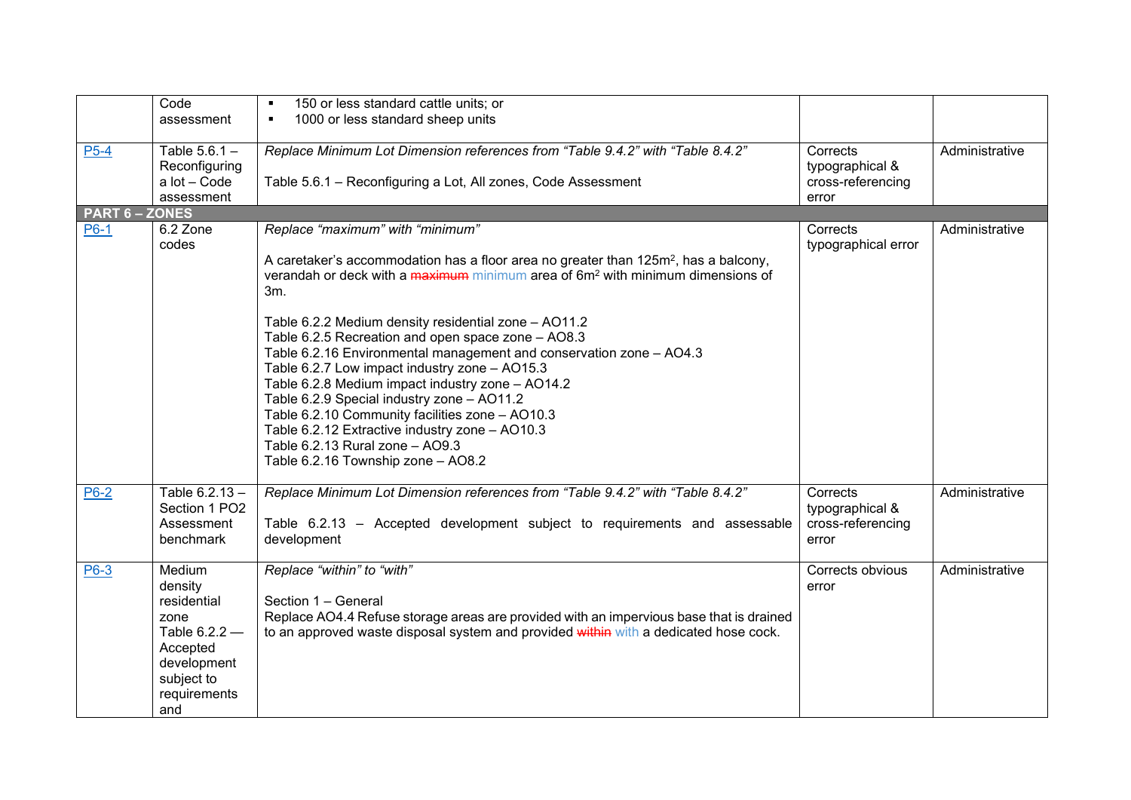<span id="page-4-0"></span>

|                     | Code              | 150 or less standard cattle units; or                                                           |                     |                |
|---------------------|-------------------|-------------------------------------------------------------------------------------------------|---------------------|----------------|
|                     | assessment        | 1000 or less standard sheep units<br>٠                                                          |                     |                |
|                     |                   |                                                                                                 |                     |                |
| $P5-4$              | Table 5.6.1 -     | Replace Minimum Lot Dimension references from "Table 9.4.2" with "Table 8.4.2"                  | Corrects            | Administrative |
|                     | Reconfiguring     |                                                                                                 | typographical &     |                |
|                     | a lot - Code      | Table 5.6.1 - Reconfiguring a Lot, All zones, Code Assessment                                   | cross-referencing   |                |
| <b>PART 6-ZONES</b> | assessment        |                                                                                                 | error               |                |
| P6-1                | 6.2 Zone          | Replace "maximum" with "minimum"                                                                | Corrects            | Administrative |
|                     | codes             |                                                                                                 | typographical error |                |
|                     |                   | A caretaker's accommodation has a floor area no greater than 125m <sup>2</sup> , has a balcony, |                     |                |
|                     |                   | verandah or deck with a maximum minimum area of 6m <sup>2</sup> with minimum dimensions of      |                     |                |
|                     |                   | 3m.                                                                                             |                     |                |
|                     |                   |                                                                                                 |                     |                |
|                     |                   | Table 6.2.2 Medium density residential zone - AO11.2                                            |                     |                |
|                     |                   | Table 6.2.5 Recreation and open space zone - AO8.3                                              |                     |                |
|                     |                   | Table 6.2.16 Environmental management and conservation zone - AO4.3                             |                     |                |
|                     |                   | Table 6.2.7 Low impact industry zone - AO15.3                                                   |                     |                |
|                     |                   | Table 6.2.8 Medium impact industry zone - AO14.2                                                |                     |                |
|                     |                   | Table 6.2.9 Special industry zone - AO11.2<br>Table 6.2.10 Community facilities zone - AO10.3   |                     |                |
|                     |                   | Table 6.2.12 Extractive industry zone - AO10.3                                                  |                     |                |
|                     |                   | Table 6.2.13 Rural zone - AO9.3                                                                 |                     |                |
|                     |                   | Table 6.2.16 Township zone - AO8.2                                                              |                     |                |
|                     |                   |                                                                                                 |                     |                |
| <b>P6-2</b>         | Table 6.2.13 -    | Replace Minimum Lot Dimension references from "Table 9.4.2" with "Table 8.4.2"                  | Corrects            | Administrative |
|                     | Section 1 PO2     |                                                                                                 | typographical &     |                |
|                     | Assessment        | Table 6.2.13 - Accepted development subject to requirements and assessable                      | cross-referencing   |                |
|                     | benchmark         | development                                                                                     | error               |                |
|                     |                   |                                                                                                 |                     |                |
| P6-3                | Medium<br>density | Replace "within" to "with"                                                                      | Corrects obvious    | Administrative |
|                     | residential       | Section 1 - General                                                                             | error               |                |
|                     | zone              | Replace AO4.4 Refuse storage areas are provided with an impervious base that is drained         |                     |                |
|                     | Table $6.2.2 -$   | to an approved waste disposal system and provided within with a dedicated hose cock.            |                     |                |
|                     | Accepted          |                                                                                                 |                     |                |
|                     | development       |                                                                                                 |                     |                |
|                     | subject to        |                                                                                                 |                     |                |
|                     | requirements      |                                                                                                 |                     |                |
|                     | and               |                                                                                                 |                     |                |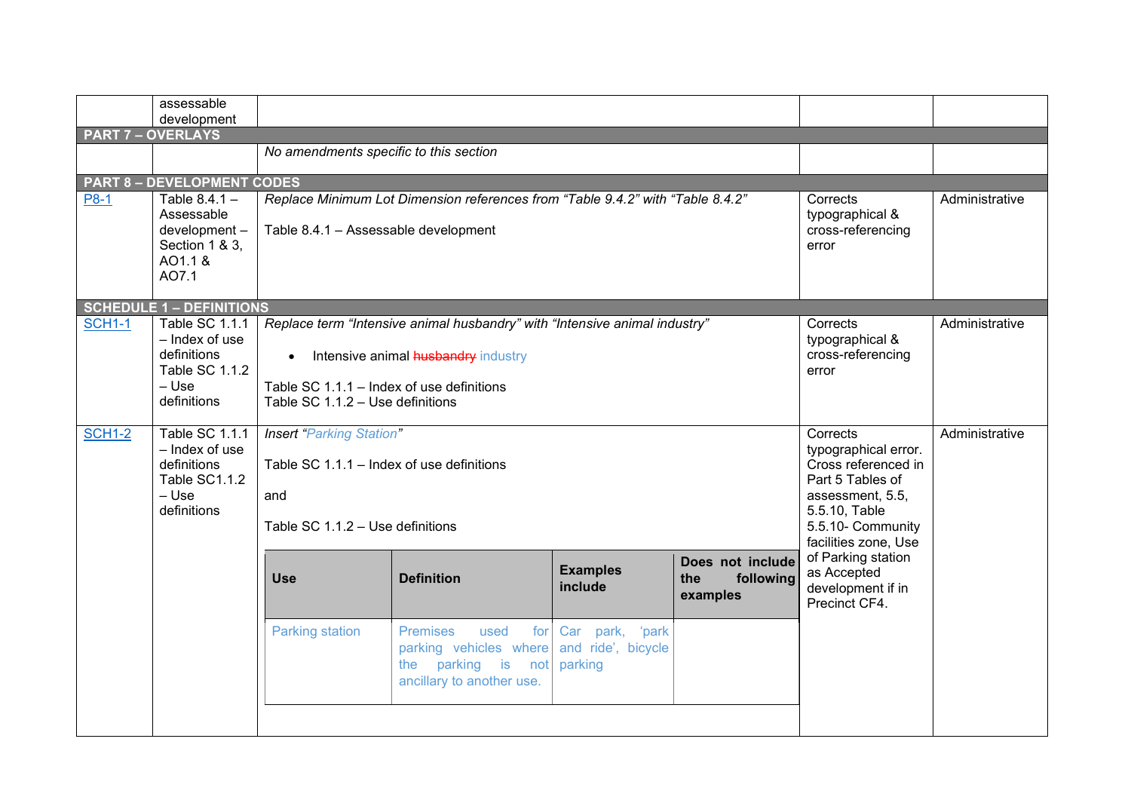<span id="page-5-2"></span><span id="page-5-1"></span><span id="page-5-0"></span>

|               | assessable<br>development                            |                                           |                                                                                                                   |                                                  |                                                  |                                                                         |                |  |  |
|---------------|------------------------------------------------------|-------------------------------------------|-------------------------------------------------------------------------------------------------------------------|--------------------------------------------------|--------------------------------------------------|-------------------------------------------------------------------------|----------------|--|--|
|               | <b>PART 7 - OVERLAYS</b>                             |                                           |                                                                                                                   |                                                  |                                                  |                                                                         |                |  |  |
|               |                                                      | No amendments specific to this section    |                                                                                                                   |                                                  |                                                  |                                                                         |                |  |  |
|               |                                                      |                                           |                                                                                                                   |                                                  |                                                  |                                                                         |                |  |  |
| <b>P8-1</b>   | <b>PART 8 - DEVELOPMENT CODES</b><br>Table $8.4.1 -$ |                                           | Replace Minimum Lot Dimension references from "Table 9.4.2" with "Table 8.4.2"                                    |                                                  |                                                  | Corrects                                                                | Administrative |  |  |
|               | Assessable<br>development-<br>Section 1 & 3.         | Table 8.4.1 - Assessable development      |                                                                                                                   |                                                  |                                                  | typographical &<br>cross-referencing<br>error                           |                |  |  |
|               | AO1.1 &<br>AO7.1                                     |                                           |                                                                                                                   |                                                  |                                                  |                                                                         |                |  |  |
|               | <b>SCHEDULE 1 - DEFINITIONS</b>                      |                                           |                                                                                                                   |                                                  |                                                  |                                                                         |                |  |  |
| <b>SCH1-1</b> | Table SC 1.1.1<br>- Index of use<br>definitions      | $\bullet$                                 | Replace term "Intensive animal husbandry" with "Intensive animal industry"<br>Intensive animal husbandry industry |                                                  |                                                  | Corrects<br>typographical &<br>cross-referencing                        | Administrative |  |  |
|               | <b>Table SC 1.1.2</b><br>– Use                       | Table SC 1.1.1 - Index of use definitions |                                                                                                                   |                                                  |                                                  | error                                                                   |                |  |  |
|               | definitions                                          | Table SC 1.1.2 - Use definitions          |                                                                                                                   |                                                  |                                                  |                                                                         |                |  |  |
|               |                                                      |                                           |                                                                                                                   |                                                  |                                                  |                                                                         |                |  |  |
| <b>SCH1-2</b> | Table SC 1.1.1<br>- Index of use                     | <b>Insert "Parking Station"</b>           |                                                                                                                   |                                                  |                                                  | Corrects<br>typographical error.                                        | Administrative |  |  |
|               | definitions                                          | Table SC 1.1.1 - Index of use definitions |                                                                                                                   |                                                  |                                                  | Cross referenced in                                                     |                |  |  |
|               | Table SC1.1.2                                        |                                           |                                                                                                                   |                                                  |                                                  | Part 5 Tables of                                                        |                |  |  |
|               | $-$ Use<br>definitions                               | and                                       |                                                                                                                   |                                                  |                                                  | assessment, 5.5,<br>5.5.10, Table                                       |                |  |  |
|               |                                                      | Table SC 1.1.2 - Use definitions          |                                                                                                                   |                                                  |                                                  | 5.5.10- Community<br>facilities zone, Use                               |                |  |  |
|               |                                                      | <b>Use</b>                                | <b>Definition</b>                                                                                                 | <b>Examples</b><br>include                       | Does not include<br>the<br>following<br>examples | of Parking station<br>as Accepted<br>development if in<br>Precinct CF4. |                |  |  |
|               |                                                      | <b>Parking station</b>                    | <b>Premises</b><br>used<br>for<br>parking vehicles where<br>the parking is<br>not<br>ancillary to another use.    | Car park, 'park<br>and ride', bicycle<br>parking |                                                  |                                                                         |                |  |  |
|               |                                                      |                                           |                                                                                                                   |                                                  |                                                  |                                                                         |                |  |  |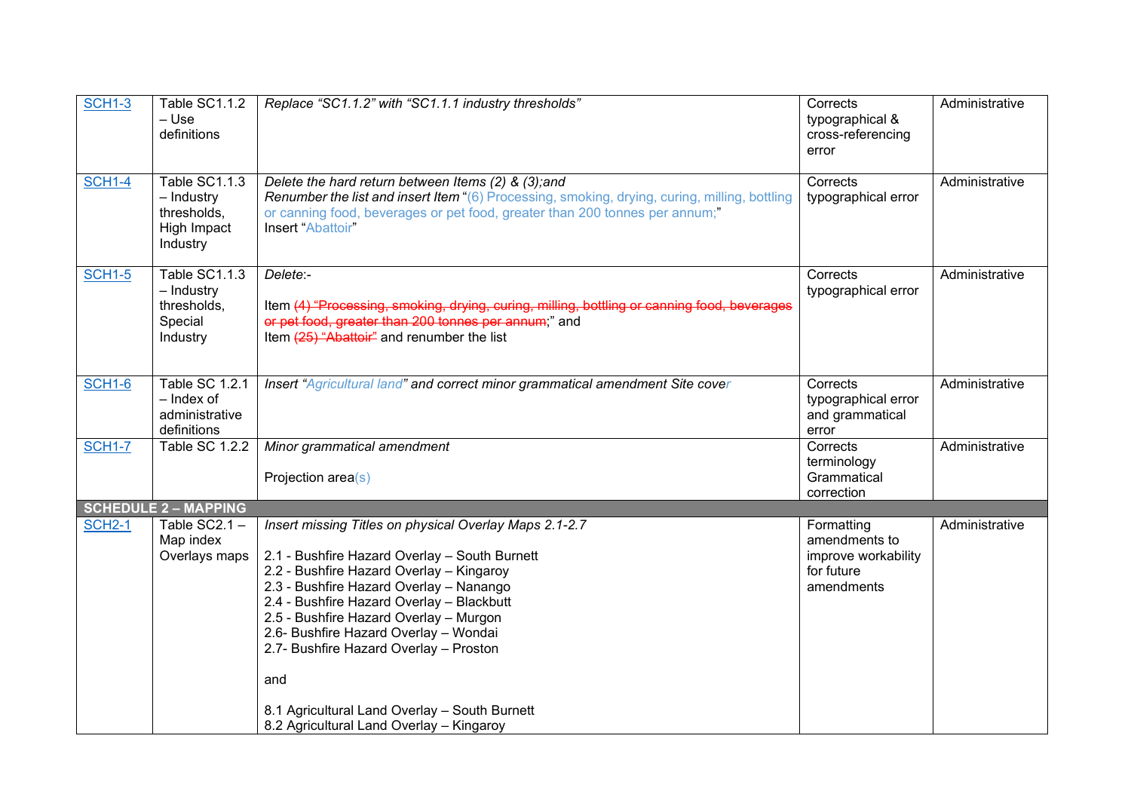<span id="page-6-0"></span>

| <b>SCH1-3</b> | Table SC1.1.2<br>– Use<br>definitions                                 | Replace "SC1.1.2" with "SC1.1.1 industry thresholds"                                                                                                                                                                                                                                                                                                                                                                             | Corrects<br>typographical &<br>cross-referencing<br>error                      | Administrative |
|---------------|-----------------------------------------------------------------------|----------------------------------------------------------------------------------------------------------------------------------------------------------------------------------------------------------------------------------------------------------------------------------------------------------------------------------------------------------------------------------------------------------------------------------|--------------------------------------------------------------------------------|----------------|
| <b>SCH1-4</b> | Table SC1.1.3<br>- Industry<br>thresholds,<br>High Impact<br>Industry | Delete the hard return between Items (2) & (3); and<br>Renumber the list and insert Item "(6) Processing, smoking, drying, curing, milling, bottling<br>or canning food, beverages or pet food, greater than 200 tonnes per annum;"<br>Insert "Abattoir"                                                                                                                                                                         | Corrects<br>typographical error                                                | Administrative |
| <b>SCH1-5</b> | Table SC1.1.3<br>- Industry<br>thresholds,<br>Special<br>Industry     | Delete:-<br>Item (4) "Processing, smoking, drying, curing, milling, bottling or canning food, beverages<br>or pet food, greater than 200 tonnes per annum;" and<br>Item (25) "Abattoir" and renumber the list                                                                                                                                                                                                                    | Corrects<br>typographical error                                                | Administrative |
| <b>SCH1-6</b> | Table SC 1.2.1<br>- Index of<br>administrative<br>definitions         | Insert "Agricultural land" and correct minor grammatical amendment Site cover                                                                                                                                                                                                                                                                                                                                                    | Corrects<br>typographical error<br>and grammatical<br>error                    | Administrative |
| <b>SCH1-7</b> | <b>Table SC 1.2.2</b>                                                 | Minor grammatical amendment<br>Projection area(s)                                                                                                                                                                                                                                                                                                                                                                                | Corrects<br>terminology<br>Grammatical<br>correction                           | Administrative |
|               | <b>SCHEDULE 2 - MAPPING</b>                                           |                                                                                                                                                                                                                                                                                                                                                                                                                                  |                                                                                |                |
| <b>SCH2-1</b> | Table SC2.1 -<br>Map index<br>Overlays maps                           | Insert missing Titles on physical Overlay Maps 2.1-2.7<br>2.1 - Bushfire Hazard Overlay - South Burnett<br>2.2 - Bushfire Hazard Overlay - Kingaroy<br>2.3 - Bushfire Hazard Overlay - Nanango<br>2.4 - Bushfire Hazard Overlay - Blackbutt<br>2.5 - Bushfire Hazard Overlay - Murgon<br>2.6- Bushfire Hazard Overlay - Wondai<br>2.7- Bushfire Hazard Overlay - Proston<br>and<br>8.1 Agricultural Land Overlay - South Burnett | Formatting<br>amendments to<br>improve workability<br>for future<br>amendments | Administrative |
|               |                                                                       | 8.2 Agricultural Land Overlay - Kingaroy                                                                                                                                                                                                                                                                                                                                                                                         |                                                                                |                |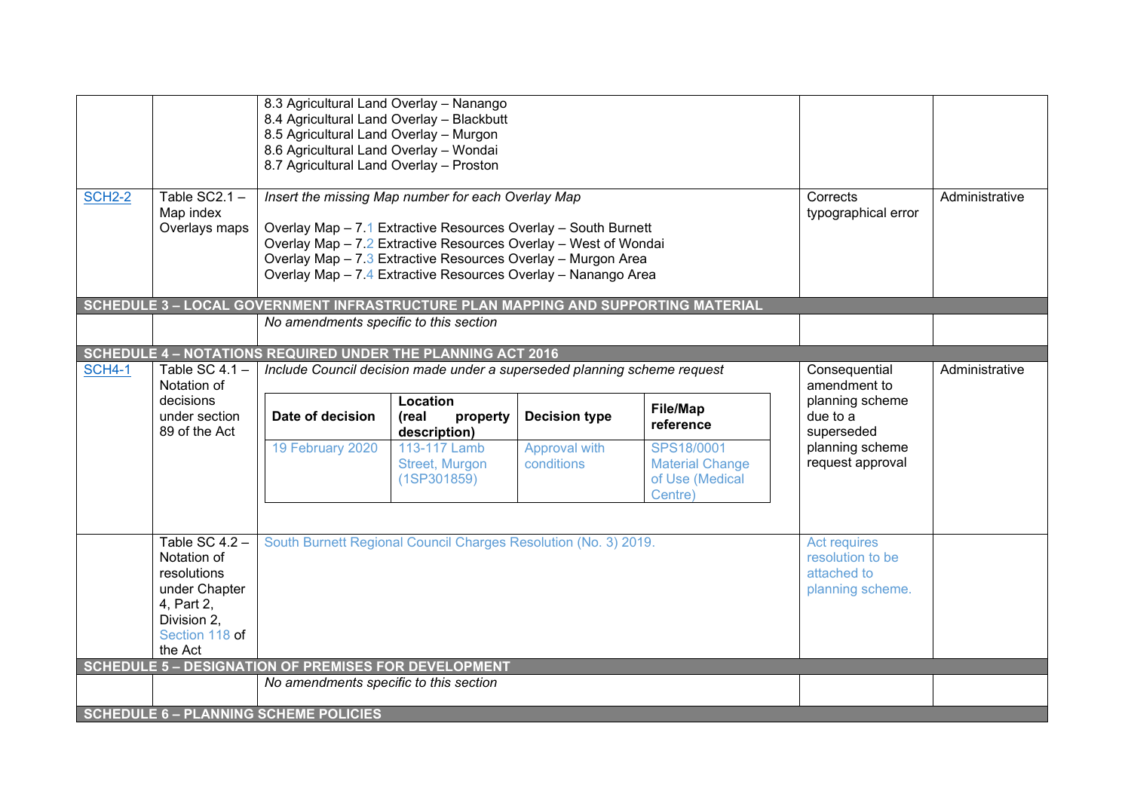<span id="page-7-3"></span><span id="page-7-2"></span><span id="page-7-1"></span><span id="page-7-0"></span>

| <b>SCH2-2</b> | Table $SC2.1 -$<br>Map index<br>Overlays maps                   | 8.3 Agricultural Land Overlay - Nanango<br>8.4 Agricultural Land Overlay - Blackbutt<br>8.5 Agricultural Land Overlay - Murgon<br>8.6 Agricultural Land Overlay - Wondai<br>8.7 Agricultural Land Overlay - Proston | Insert the missing Map number for each Overlay Map<br>Overlay Map - 7.1 Extractive Resources Overlay - South Burnett<br>Overlay Map - 7.2 Extractive Resources Overlay - West of Wondai<br>Overlay Map - 7.3 Extractive Resources Overlay - Murgon Area<br>Overlay Map - 7.4 Extractive Resources Overlay - Nanango Area | Corrects<br>typographical error                                            | Administrative                                                                           |                                           |  |
|---------------|-----------------------------------------------------------------|---------------------------------------------------------------------------------------------------------------------------------------------------------------------------------------------------------------------|--------------------------------------------------------------------------------------------------------------------------------------------------------------------------------------------------------------------------------------------------------------------------------------------------------------------------|----------------------------------------------------------------------------|------------------------------------------------------------------------------------------|-------------------------------------------|--|
|               |                                                                 |                                                                                                                                                                                                                     |                                                                                                                                                                                                                                                                                                                          |                                                                            | <b>SCHEDULE 3 - LOCAL GOVERNMENT INFRASTRUCTURE PLAN MAPPING AND SUPPORTING MATERIAL</b> |                                           |  |
|               |                                                                 | No amendments specific to this section                                                                                                                                                                              |                                                                                                                                                                                                                                                                                                                          |                                                                            |                                                                                          |                                           |  |
|               |                                                                 | <b>SCHEDULE 4 - NOTATIONS REQUIRED UNDER THE PLANNING ACT 2016</b>                                                                                                                                                  |                                                                                                                                                                                                                                                                                                                          |                                                                            |                                                                                          |                                           |  |
| <b>SCH4-1</b> | Table SC $4.1 -$<br>Notation of                                 |                                                                                                                                                                                                                     | Include Council decision made under a superseded planning scheme request                                                                                                                                                                                                                                                 | Consequential<br>amendment to                                              | Administrative                                                                           |                                           |  |
|               | decisions<br>under section<br>89 of the Act                     | Date of decision                                                                                                                                                                                                    | Location<br>(real<br>property<br>description)                                                                                                                                                                                                                                                                            | <b>Decision type</b>                                                       | File/Map<br>reference                                                                    | planning scheme<br>due to a<br>superseded |  |
|               |                                                                 | 19 February 2020                                                                                                                                                                                                    | 113-117 Lamb<br>Street, Murgon<br>(1SP301859)                                                                                                                                                                                                                                                                            | Approval with<br>conditions                                                | SPS18/0001<br><b>Material Change</b><br>of Use (Medical<br>Centre)                       | planning scheme<br>request approval       |  |
|               | Table SC $4.2 -$<br>Notation of<br>resolutions<br>under Chapter |                                                                                                                                                                                                                     | South Burnett Regional Council Charges Resolution (No. 3) 2019.                                                                                                                                                                                                                                                          | <b>Act requires</b><br>resolution to be<br>attached to<br>planning scheme. |                                                                                          |                                           |  |
|               | 4, Part 2,<br>Division 2.<br>Section 118 of<br>the Act          |                                                                                                                                                                                                                     |                                                                                                                                                                                                                                                                                                                          |                                                                            |                                                                                          |                                           |  |
|               |                                                                 | <b>SCHEDULE 5 - DESIGNATION OF PREMISES FOR DEVELOPMENT</b>                                                                                                                                                         |                                                                                                                                                                                                                                                                                                                          |                                                                            |                                                                                          |                                           |  |
|               |                                                                 | No amendments specific to this section                                                                                                                                                                              |                                                                                                                                                                                                                                                                                                                          |                                                                            |                                                                                          |                                           |  |
|               |                                                                 | <b>SCHEDULE 6 - PLANNING SCHEME POLICIES</b>                                                                                                                                                                        |                                                                                                                                                                                                                                                                                                                          |                                                                            |                                                                                          |                                           |  |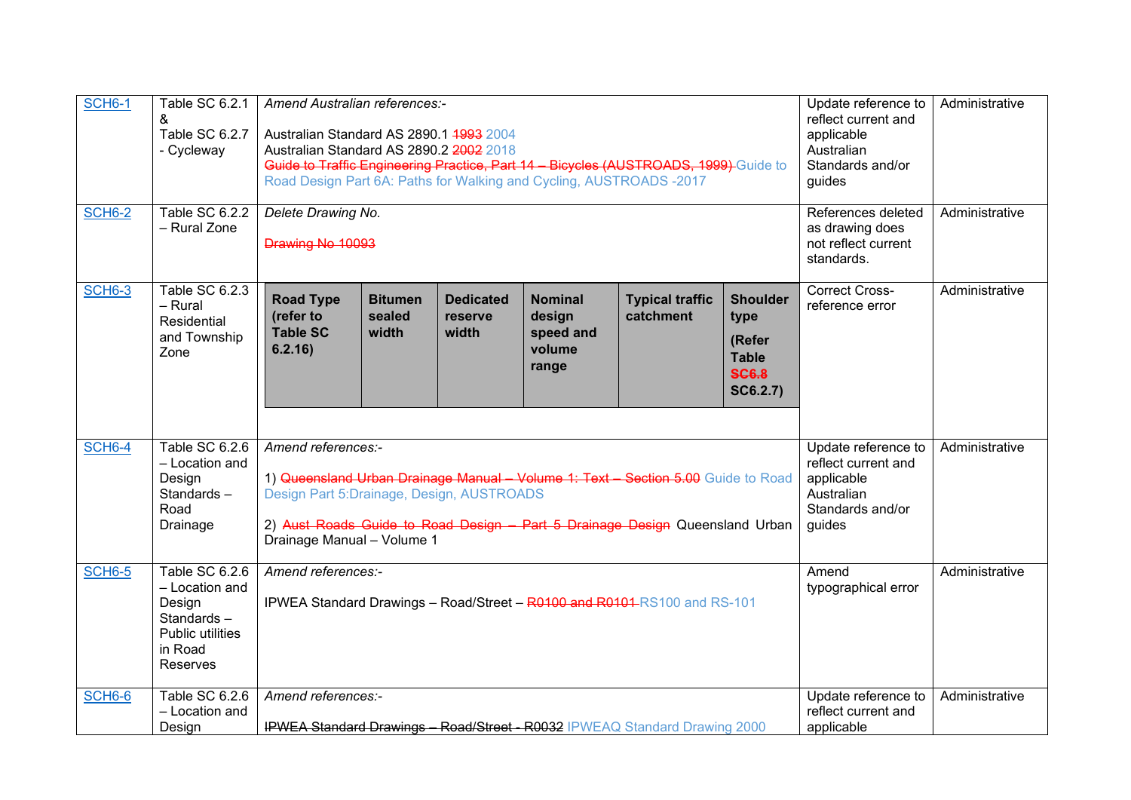| <b>SCH6-1</b><br><b>SCH6-2</b> | Table SC 6.2.1<br>&<br>Table SC 6.2.7<br>- Cycleway<br>Table SC 6.2.2                                 | Amend Australian references:-<br>Australian Standard AS 2890.1 4993 2004<br>Australian Standard AS 2890.2 2002 2018<br>Guide to Traffic Engineering Practice, Part 14 - Bicycles (AUSTROADS, 1999) Guide to<br>Road Design Part 6A: Paths for Walking and Cycling, AUSTROADS -2017<br>Delete Drawing No. |                                   |                                      |                                                          |                                                                            |                                                                                                      | Update reference to<br>reflect current and<br>applicable<br>Australian<br>Standards and/or<br>guides<br>References deleted | Administrative<br>Administrative |
|--------------------------------|-------------------------------------------------------------------------------------------------------|----------------------------------------------------------------------------------------------------------------------------------------------------------------------------------------------------------------------------------------------------------------------------------------------------------|-----------------------------------|--------------------------------------|----------------------------------------------------------|----------------------------------------------------------------------------|------------------------------------------------------------------------------------------------------|----------------------------------------------------------------------------------------------------------------------------|----------------------------------|
|                                | - Rural Zone                                                                                          | Drawing No 10093                                                                                                                                                                                                                                                                                         |                                   |                                      |                                                          |                                                                            |                                                                                                      | as drawing does<br>not reflect current<br>standards.                                                                       |                                  |
| <b>SCH6-3</b>                  | Table SC 6.2.3<br>- Rural<br>Residential<br>and Township<br>Zone                                      | <b>Road Type</b><br>(refer to<br><b>Table SC</b><br>6.2.16)                                                                                                                                                                                                                                              | <b>Bitumen</b><br>sealed<br>width | <b>Dedicated</b><br>reserve<br>width | <b>Nominal</b><br>design<br>speed and<br>volume<br>range | <b>Typical traffic</b><br>catchment                                        | <b>Shoulder</b><br>type<br>(Refer<br><b>Table</b><br><b>SC6.8</b><br>SC6.2.7)                        | <b>Correct Cross-</b><br>reference error                                                                                   | Administrative                   |
| <b>SCH6-4</b>                  | Table SC 6.2.6<br>- Location and<br>Design<br>Standards-<br>Road<br>Drainage                          | Amend references:-<br>1) Queensland Urban Drainage Manual - Volume 1: Text - Section 5.00 Guide to Road<br>Design Part 5: Drainage, Design, AUSTROADS<br>2) Aust Roads Guide to Road Design Part 5 Drainage Design Queensland Urban<br>Drainage Manual - Volume 1                                        |                                   |                                      |                                                          |                                                                            | Update reference to<br>reflect current and<br>applicable<br>Australian<br>Standards and/or<br>guides | Administrative                                                                                                             |                                  |
| <b>SCH6-5</b>                  | Table SC $6.2.6$<br>- Location and<br>Design<br>Standards-<br>Public utilities<br>in Road<br>Reserves | Amend references:-<br><b>IPWEA Standard Drawings - Road/Street - R0100 and R0101</b> RS100 and RS-101                                                                                                                                                                                                    |                                   |                                      |                                                          |                                                                            | Amend<br>typographical error                                                                         | Administrative                                                                                                             |                                  |
| SCH6-6                         | Table SC 6.2.6<br>- Location and<br>Design                                                            | Amend references:-                                                                                                                                                                                                                                                                                       |                                   |                                      |                                                          | IPWEA Standard Drawings - Road/Street - R0032 IPWEAQ Standard Drawing 2000 |                                                                                                      | Update reference to<br>reflect current and<br>applicable                                                                   | Administrative                   |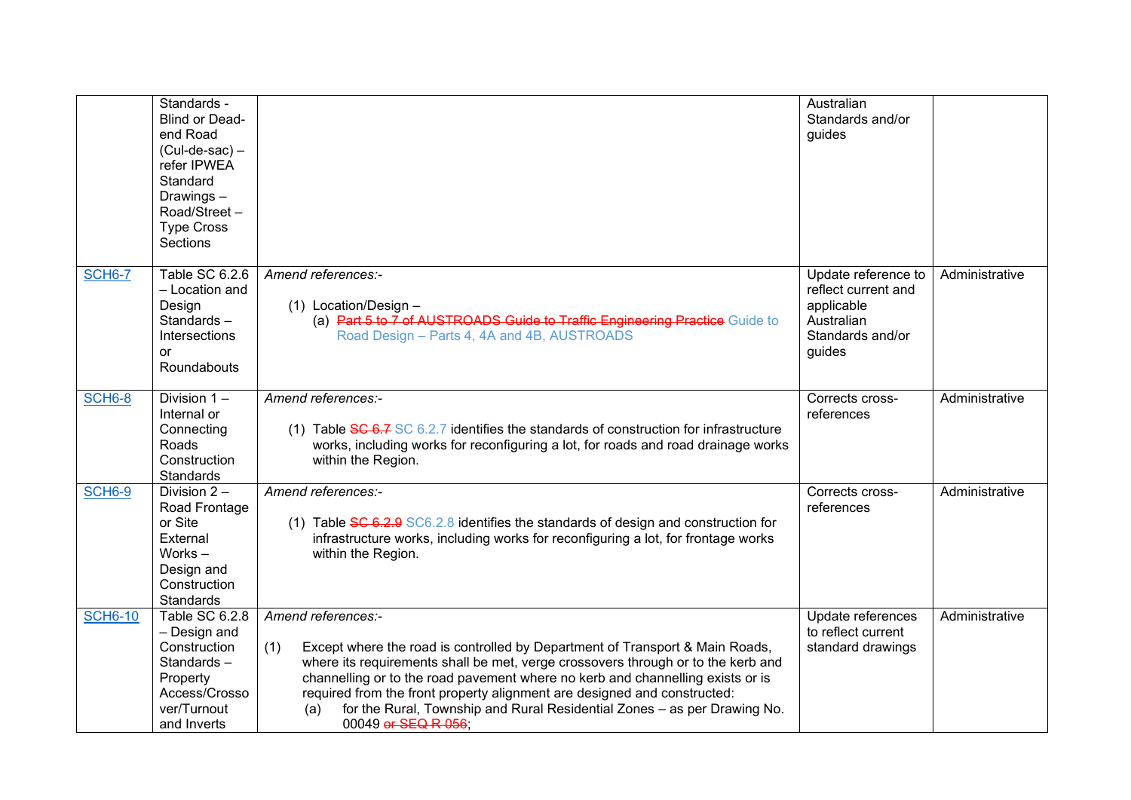|                | Standards -<br><b>Blind or Dead-</b><br>end Road<br>$(Cul-de-sac)$ –<br>refer IPWEA<br>Standard<br>Drawings-<br>Road/Street-<br><b>Type Cross</b><br>Sections |                                                                                                                                                                                                                                                                                                                                                                                                                                                                       | Australian<br>Standards and/or<br>quides                                                             |                |
|----------------|---------------------------------------------------------------------------------------------------------------------------------------------------------------|-----------------------------------------------------------------------------------------------------------------------------------------------------------------------------------------------------------------------------------------------------------------------------------------------------------------------------------------------------------------------------------------------------------------------------------------------------------------------|------------------------------------------------------------------------------------------------------|----------------|
| <b>SCH6-7</b>  | Table SC 6.2.6<br>- Location and<br>Design<br>Standards-<br>Intersections<br>or<br>Roundabouts                                                                | Amend references:-<br>$(1)$ Location/Design -<br>(a) Part 5 to 7 of AUSTROADS Guide to Traffic Engineering Practice Guide to<br>Road Design - Parts 4, 4A and 4B, AUSTROADS                                                                                                                                                                                                                                                                                           | Update reference to<br>reflect current and<br>applicable<br>Australian<br>Standards and/or<br>guides | Administrative |
| SCH6-8         | Division $1 -$<br>Internal or<br>Connecting<br>Roads<br>Construction<br>Standards                                                                             | Amend references:-<br>(1) Table $SC 6.7 SC 6.2.7$ identifies the standards of construction for infrastructure<br>works, including works for reconfiguring a lot, for roads and road drainage works<br>within the Region.                                                                                                                                                                                                                                              | Corrects cross-<br>references                                                                        | Administrative |
| <b>SCH6-9</b>  | Division $2 -$<br>Road Frontage<br>or Site<br>External<br>Works-<br>Design and<br>Construction<br>Standards                                                   | Amend references:-<br>(1) Table $\frac{1}{2}$ GC6.2.8 identifies the standards of design and construction for<br>infrastructure works, including works for reconfiguring a lot, for frontage works<br>within the Region.                                                                                                                                                                                                                                              | Corrects cross-<br>references                                                                        | Administrative |
| <b>SCH6-10</b> | Table SC 6.2.8<br>- Design and<br>Construction<br>Standards-<br>Property<br>Access/Crosso<br>ver/Turnout<br>and Inverts                                       | Amend references:-<br>Except where the road is controlled by Department of Transport & Main Roads,<br>(1)<br>where its requirements shall be met, verge crossovers through or to the kerb and<br>channelling or to the road pavement where no kerb and channelling exists or is<br>required from the front property alignment are designed and constructed:<br>for the Rural, Township and Rural Residential Zones - as per Drawing No.<br>(a)<br>00049 or SEQ R 056; | Update references<br>to reflect current<br>standard drawings                                         | Administrative |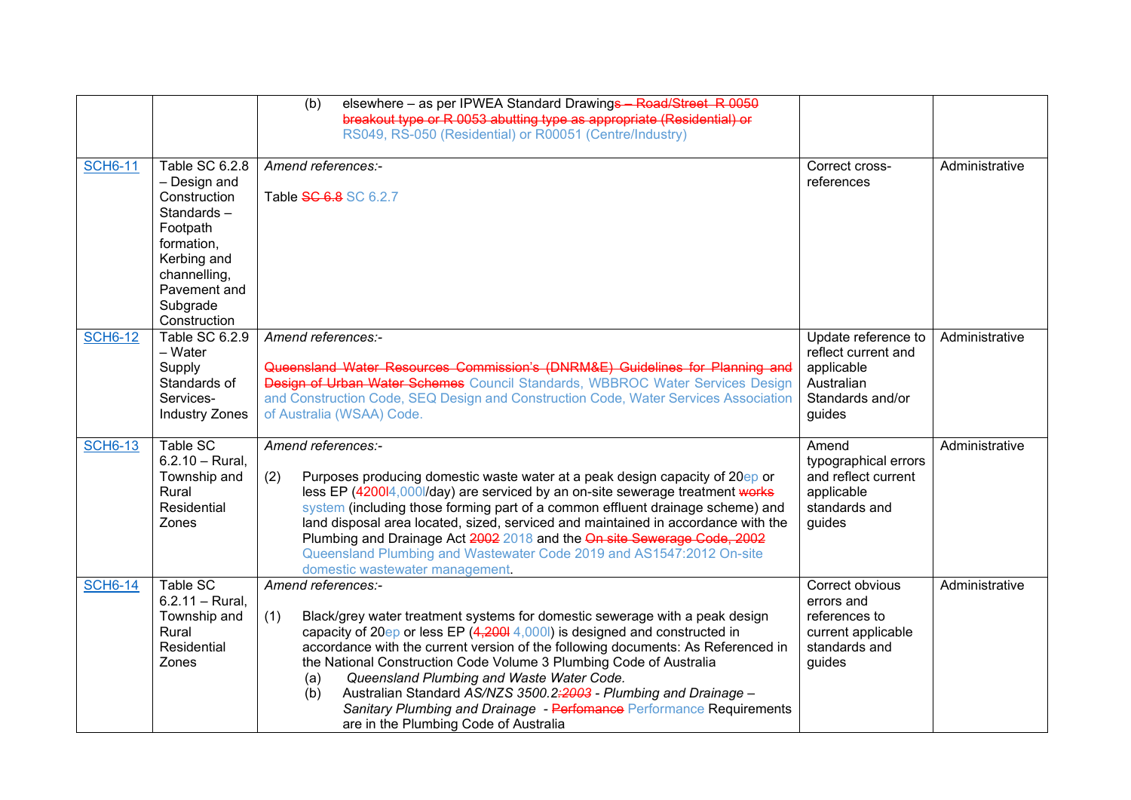|                |                                                                                                                                                                   | elsewhere - as per IPWEA Standard Drawings - Road/Street R 0050<br>(b)<br>breakout type or R 0053 abutting type as appropriate (Residential) or<br>RS049, RS-050 (Residential) or R00051 (Centre/Industry)                                                                                                                                                                                                                                                                                                                                                                                       |                                                                                                      |                |
|----------------|-------------------------------------------------------------------------------------------------------------------------------------------------------------------|--------------------------------------------------------------------------------------------------------------------------------------------------------------------------------------------------------------------------------------------------------------------------------------------------------------------------------------------------------------------------------------------------------------------------------------------------------------------------------------------------------------------------------------------------------------------------------------------------|------------------------------------------------------------------------------------------------------|----------------|
| <b>SCH6-11</b> | Table SC 6.2.8<br>- Design and<br>Construction<br>Standards-<br>Footpath<br>formation,<br>Kerbing and<br>channelling,<br>Pavement and<br>Subgrade<br>Construction | Amend references:-<br>Table SC 6.8 SC 6.2.7                                                                                                                                                                                                                                                                                                                                                                                                                                                                                                                                                      | Correct cross-<br>references                                                                         | Administrative |
| <b>SCH6-12</b> | Table SC 6.2.9<br>$-$ Water<br>Supply<br>Standards of<br>Services-<br><b>Industry Zones</b>                                                                       | Amend references:-<br>Queensland Water Resources Commission's (DNRM&E) Guidelines for Planning and<br>Design of Urban Water Schemes Council Standards, WBBROC Water Services Design<br>and Construction Code, SEQ Design and Construction Code, Water Services Association<br>of Australia (WSAA) Code.                                                                                                                                                                                                                                                                                          | Update reference to<br>reflect current and<br>applicable<br>Australian<br>Standards and/or<br>guides | Administrative |
| <b>SCH6-13</b> | Table SC<br>$6.2.10 - Rural$ .<br>Township and<br>Rural<br>Residential<br>Zones                                                                                   | Amend references:-<br>Purposes producing domestic waste water at a peak design capacity of 20ep or<br>(2)<br>less EP (4200l4,000l/day) are serviced by an on-site sewerage treatment works<br>system (including those forming part of a common effluent drainage scheme) and<br>land disposal area located, sized, serviced and maintained in accordance with the<br>Plumbing and Drainage Act 2002 2018 and the On site Sewerage Code, 2002<br>Queensland Plumbing and Wastewater Code 2019 and AS1547:2012 On-site<br>domestic wastewater management.                                          | Amend<br>typographical errors<br>and reflect current<br>applicable<br>standards and<br>guides        | Administrative |
| <b>SCH6-14</b> | Table SC<br>$6.2.11 - Rural,$<br>Township and<br>Rural<br>Residential<br>Zones                                                                                    | Amend references:-<br>Black/grey water treatment systems for domestic sewerage with a peak design<br>(1)<br>capacity of 20ep or less EP (4,2001 4,0001) is designed and constructed in<br>accordance with the current version of the following documents: As Referenced in<br>the National Construction Code Volume 3 Plumbing Code of Australia<br>Queensland Plumbing and Waste Water Code.<br>(a)<br>Australian Standard AS/NZS 3500.2:2003 - Plumbing and Drainage -<br>(b)<br>Sanitary Plumbing and Drainage - Perfomance Performance Requirements<br>are in the Plumbing Code of Australia | Correct obvious<br>errors and<br>references to<br>current applicable<br>standards and<br>guides      | Administrative |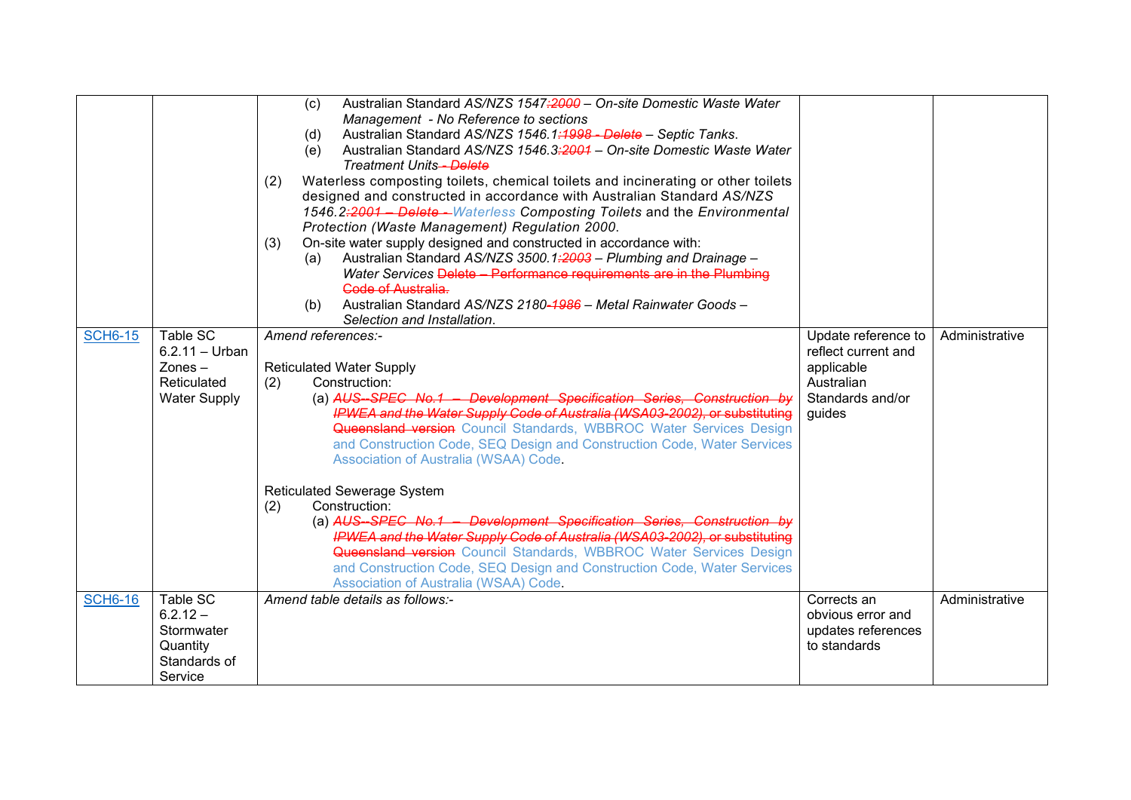|                |                                                                                 | Australian Standard AS/NZS 1547;2000 - On-site Domestic Waste Water<br>(c)<br>Management - No Reference to sections<br>Australian Standard AS/NZS 1546.1:1998 - Delete - Septic Tanks.<br>(d)<br>Australian Standard AS/NZS 1546.3:2004 - On-site Domestic Waste Water<br>(e)                                                                                                                                                                                                                                                                                                                                                                                                                                                                                                                                                                        |                                                                                                      |                |
|----------------|---------------------------------------------------------------------------------|------------------------------------------------------------------------------------------------------------------------------------------------------------------------------------------------------------------------------------------------------------------------------------------------------------------------------------------------------------------------------------------------------------------------------------------------------------------------------------------------------------------------------------------------------------------------------------------------------------------------------------------------------------------------------------------------------------------------------------------------------------------------------------------------------------------------------------------------------|------------------------------------------------------------------------------------------------------|----------------|
|                |                                                                                 | <b>Treatment Units-Delete</b><br>Waterless composting toilets, chemical toilets and incinerating or other toilets<br>(2)<br>designed and constructed in accordance with Australian Standard AS/NZS<br>1546.2:2001 - Delete - Waterless Composting Toilets and the Environmental<br>Protection (Waste Management) Regulation 2000.<br>On-site water supply designed and constructed in accordance with:<br>(3)<br>Australian Standard AS/NZS 3500.1:2003 - Plumbing and Drainage -<br>(a)                                                                                                                                                                                                                                                                                                                                                             |                                                                                                      |                |
|                |                                                                                 | Water Services Delete - Performance requirements are in the Plumbing<br>Gode of Australia.<br>Australian Standard AS/NZS 2180-1986 - Metal Rainwater Goods -<br>(b)<br>Selection and Installation.                                                                                                                                                                                                                                                                                                                                                                                                                                                                                                                                                                                                                                                   |                                                                                                      |                |
| <b>SCH6-15</b> | Table SC<br>$6.2.11 - Urban$<br>$Zones -$<br>Reticulated<br><b>Water Supply</b> | Amend references:-<br><b>Reticulated Water Supply</b><br>(2)<br>Construction:<br>(a) AUS-SPEC No.1 - Development Specification Series. Construction by<br>IPWEA and the Water Supply Code of Australia (WSA03-2002), or substituting<br><b>Queensland version</b> Council Standards, WBBROC Water Services Design<br>and Construction Code, SEQ Design and Construction Code, Water Services<br>Association of Australia (WSAA) Code.<br>Reticulated Sewerage System<br>Construction:<br>(2)<br>(a) AUS-SPEC No.1 - Development Specification Series, Construction by<br><b>IPWEA and the Water Supply Code of Australia (WSA03-2002), or substituting</b><br>Queensland version Council Standards, WBBROC Water Services Design<br>and Construction Code, SEQ Design and Construction Code, Water Services<br>Association of Australia (WSAA) Code. | Update reference to<br>reflect current and<br>applicable<br>Australian<br>Standards and/or<br>quides | Administrative |
| <b>SCH6-16</b> | Table SC<br>$6.2.12 -$<br>Stormwater<br>Quantity<br>Standards of<br>Service     | Amend table details as follows:-                                                                                                                                                                                                                                                                                                                                                                                                                                                                                                                                                                                                                                                                                                                                                                                                                     | Corrects an<br>obvious error and<br>updates references<br>to standards                               | Administrative |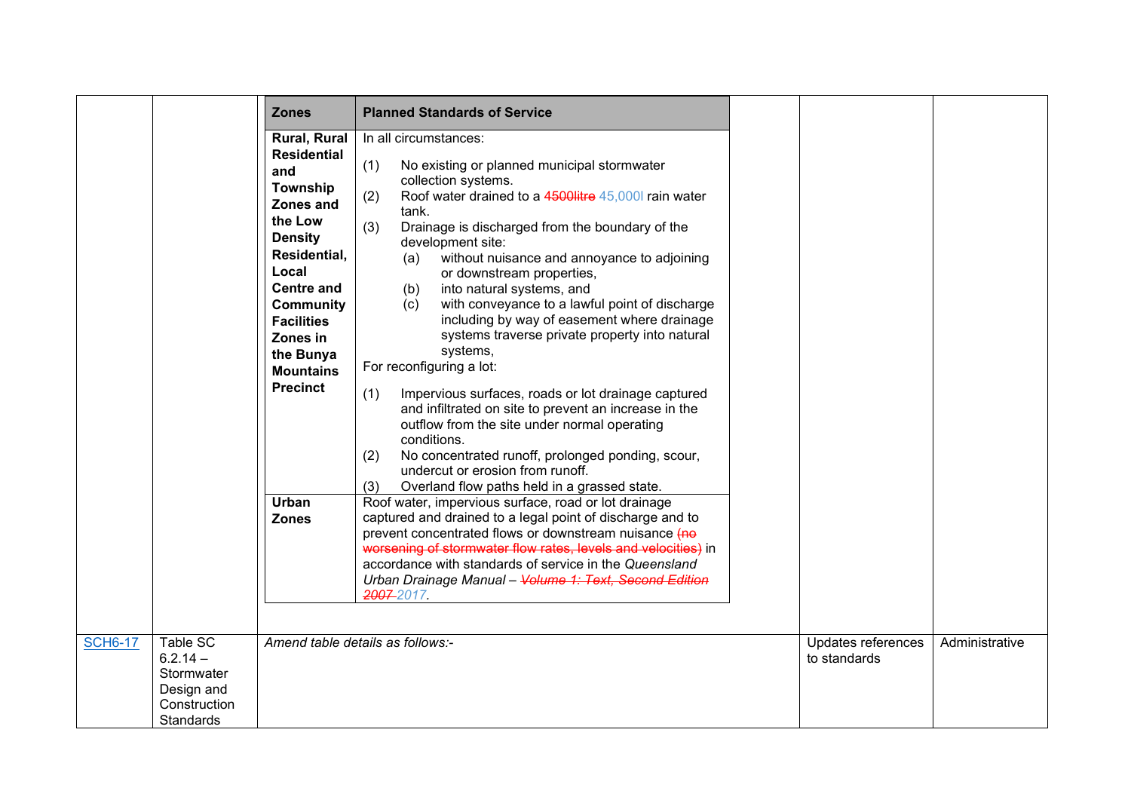|                |                                                                                 | <b>Zones</b>                                                                                                                                                                                                                                                                           | <b>Planned Standards of Service</b>                                                                                                                                                                                                                                                                                                                                                                                                                                                                                                                                                                                                                                                                                                                                                                                                                                                                                                                                                                                                                                                                                                                                                                                                                                                                              |                                    |                |
|----------------|---------------------------------------------------------------------------------|----------------------------------------------------------------------------------------------------------------------------------------------------------------------------------------------------------------------------------------------------------------------------------------|------------------------------------------------------------------------------------------------------------------------------------------------------------------------------------------------------------------------------------------------------------------------------------------------------------------------------------------------------------------------------------------------------------------------------------------------------------------------------------------------------------------------------------------------------------------------------------------------------------------------------------------------------------------------------------------------------------------------------------------------------------------------------------------------------------------------------------------------------------------------------------------------------------------------------------------------------------------------------------------------------------------------------------------------------------------------------------------------------------------------------------------------------------------------------------------------------------------------------------------------------------------------------------------------------------------|------------------------------------|----------------|
|                |                                                                                 | Rural, Rural<br><b>Residential</b><br>and<br>Township<br>Zones and<br>the Low<br><b>Density</b><br>Residential,<br>Local<br><b>Centre and</b><br><b>Community</b><br><b>Facilities</b><br>Zones in<br>the Bunya<br><b>Mountains</b><br><b>Precinct</b><br><b>Urban</b><br><b>Zones</b> | In all circumstances:<br>(1)<br>No existing or planned municipal stormwater<br>collection systems.<br>Roof water drained to a 4500litre 45,000l rain water<br>(2)<br>tank.<br>(3)<br>Drainage is discharged from the boundary of the<br>development site:<br>without nuisance and annoyance to adjoining<br>(a)<br>or downstream properties,<br>into natural systems, and<br>(b)<br>(c)<br>with conveyance to a lawful point of discharge<br>including by way of easement where drainage<br>systems traverse private property into natural<br>systems,<br>For reconfiguring a lot:<br>(1)<br>Impervious surfaces, roads or lot drainage captured<br>and infiltrated on site to prevent an increase in the<br>outflow from the site under normal operating<br>conditions.<br>No concentrated runoff, prolonged ponding, scour,<br>(2)<br>undercut or erosion from runoff.<br>Overland flow paths held in a grassed state.<br>(3)<br>Roof water, impervious surface, road or lot drainage<br>captured and drained to a legal point of discharge and to<br>prevent concentrated flows or downstream nuisance (no<br>worsening of stormwater flow rates, levels and velocities) in<br>accordance with standards of service in the Queensland<br>Urban Drainage Manual - Volume 1: Text, Second Edition<br>2007-2017. |                                    |                |
| <b>SCH6-17</b> | Table SC<br>$6.2.14 -$<br>Stormwater<br>Design and<br>Construction<br>Standards |                                                                                                                                                                                                                                                                                        | Amend table details as follows:-                                                                                                                                                                                                                                                                                                                                                                                                                                                                                                                                                                                                                                                                                                                                                                                                                                                                                                                                                                                                                                                                                                                                                                                                                                                                                 | Updates references<br>to standards | Administrative |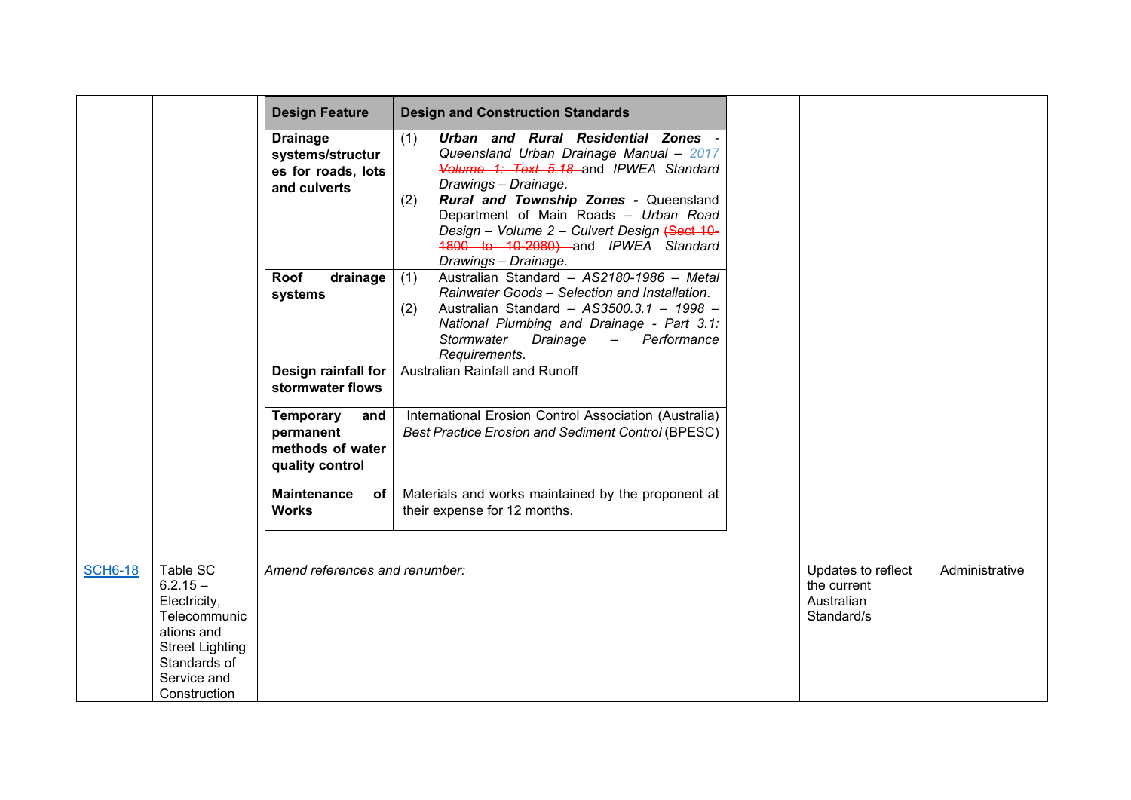|                                                                                                                                                                 | <b>Design Feature</b>                                                     | <b>Design and Construction Standards</b>                                                                                                                                                                                                                                                                                                                        |                                                               |                |
|-----------------------------------------------------------------------------------------------------------------------------------------------------------------|---------------------------------------------------------------------------|-----------------------------------------------------------------------------------------------------------------------------------------------------------------------------------------------------------------------------------------------------------------------------------------------------------------------------------------------------------------|---------------------------------------------------------------|----------------|
|                                                                                                                                                                 | <b>Drainage</b><br>systems/structur<br>es for roads, lots<br>and culverts | Urban and Rural Residential Zones -<br>(1)<br>Queensland Urban Drainage Manual - 2017<br>Volume 1: Text 5.18 and IPWEA Standard<br>Drawings - Drainage.<br>Rural and Township Zones - Queensland<br>(2)<br>Department of Main Roads - Urban Road<br>Design - Volume 2 - Culvert Design (Sect 10-<br>1800 to 10-2080) and IPWEA Standard<br>Drawings - Drainage. |                                                               |                |
|                                                                                                                                                                 | Roof<br>drainage<br>systems<br>Design rainfall for                        | Australian Standard - AS2180-1986 - Metal<br>(1)<br>Rainwater Goods - Selection and Installation.<br>Australian Standard - AS3500.3.1 - 1998 -<br>(2)<br>National Plumbing and Drainage - Part 3.1:<br>Stormwater<br>Drainage<br>Performance<br>$\equiv$<br>Requirements.<br>Australian Rainfall and Runoff                                                     |                                                               |                |
|                                                                                                                                                                 | stormwater flows<br><b>Temporary</b><br>and                               | International Erosion Control Association (Australia)                                                                                                                                                                                                                                                                                                           |                                                               |                |
|                                                                                                                                                                 | permanent<br>methods of water<br>quality control                          | <b>Best Practice Erosion and Sediment Control (BPESC)</b>                                                                                                                                                                                                                                                                                                       |                                                               |                |
|                                                                                                                                                                 | <b>Maintenance</b><br>of<br><b>Works</b>                                  | Materials and works maintained by the proponent at<br>their expense for 12 months.                                                                                                                                                                                                                                                                              |                                                               |                |
| Table SC<br><b>SCH6-18</b><br>$6.2.15 -$<br>Electricity,<br>Telecommunic<br>ations and<br><b>Street Lighting</b><br>Standards of<br>Service and<br>Construction | Amend references and renumber:                                            |                                                                                                                                                                                                                                                                                                                                                                 | Updates to reflect<br>the current<br>Australian<br>Standard/s | Administrative |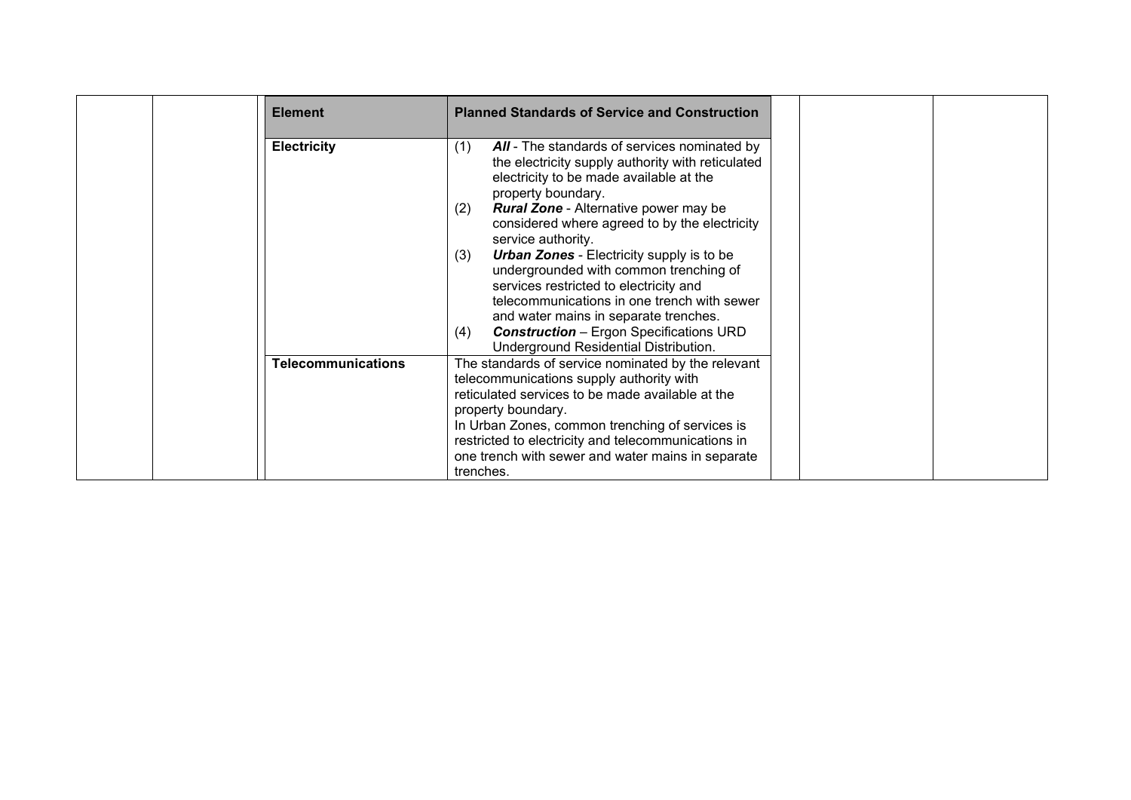| <b>Element</b>            | <b>Planned Standards of Service and Construction</b>                                                                                                                                                                                                                                         |  |
|---------------------------|----------------------------------------------------------------------------------------------------------------------------------------------------------------------------------------------------------------------------------------------------------------------------------------------|--|
| <b>Electricity</b>        | All - The standards of services nominated by<br>(1)<br>the electricity supply authority with reticulated<br>electricity to be made available at the<br>property boundary.                                                                                                                    |  |
|                           | <b>Rural Zone - Alternative power may be</b><br>(2)<br>considered where agreed to by the electricity<br>service authority.                                                                                                                                                                   |  |
|                           | <b>Urban Zones</b> - Electricity supply is to be<br>(3)<br>undergrounded with common trenching of<br>services restricted to electricity and<br>telecommunications in one trench with sewer<br>and water mains in separate trenches.<br><b>Construction</b> – Ergon Specifications URD<br>(4) |  |
| <b>Telecommunications</b> | Underground Residential Distribution.<br>The standards of service nominated by the relevant<br>telecommunications supply authority with<br>reticulated services to be made available at the<br>property boundary.                                                                            |  |
|                           | In Urban Zones, common trenching of services is<br>restricted to electricity and telecommunications in<br>one trench with sewer and water mains in separate<br>trenches.                                                                                                                     |  |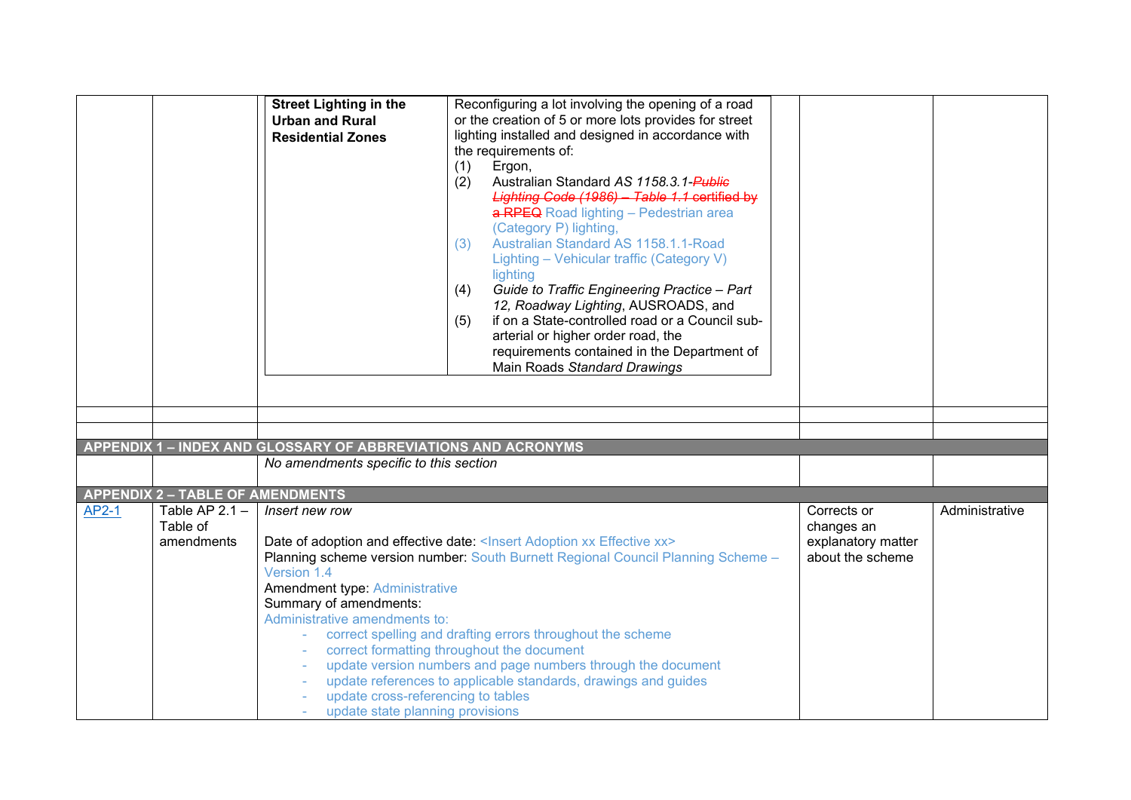<span id="page-15-1"></span><span id="page-15-0"></span>

|       |                                                                                       | <b>Street Lighting in the</b><br><b>Urban and Rural</b><br><b>Residential Zones</b>                                                                                                                         | Reconfiguring a lot involving the opening of a road<br>or the creation of 5 or more lots provides for street<br>lighting installed and designed in accordance with<br>the requirements of:<br>(1)<br>Ergon,<br>Australian Standard AS 1158.3.1-Public<br>(2)<br>Lighting Code (1986) - Table 1.1 certified by<br>a RPEQ Road lighting - Pedestrian area<br>(Category P) lighting,<br>Australian Standard AS 1158.1.1-Road<br>(3)<br>Lighting - Vehicular traffic (Category V)<br>lighting<br>Guide to Traffic Engineering Practice - Part<br>(4) |                                                                     |                |
|-------|---------------------------------------------------------------------------------------|-------------------------------------------------------------------------------------------------------------------------------------------------------------------------------------------------------------|--------------------------------------------------------------------------------------------------------------------------------------------------------------------------------------------------------------------------------------------------------------------------------------------------------------------------------------------------------------------------------------------------------------------------------------------------------------------------------------------------------------------------------------------------|---------------------------------------------------------------------|----------------|
|       |                                                                                       | APPENDIX 1 - INDEX AND GLOSSARY OF ABBREVIATIONS AND ACRONYMS<br>No amendments specific to this section                                                                                                     | 12, Roadway Lighting, AUSROADS, and<br>if on a State-controlled road or a Council sub-<br>(5)<br>arterial or higher order road, the<br>requirements contained in the Department of<br>Main Roads Standard Drawings                                                                                                                                                                                                                                                                                                                               |                                                                     |                |
| AP2-1 | <b>APPENDIX 2 - TABLE OF AMENDMENTS</b><br>Table AP $2.1 -$<br>Table of<br>amendments | Insert new row<br>Version 1.4<br><b>Amendment type: Administrative</b><br>Summary of amendments:<br>Administrative amendments to:<br>update cross-referencing to tables<br>update state planning provisions | Date of adoption and effective date: <lnsert adoption="" effective="" xx=""><br/>Planning scheme version number: South Burnett Regional Council Planning Scheme -<br/>correct spelling and drafting errors throughout the scheme<br/>correct formatting throughout the document<br/>update version numbers and page numbers through the document<br/>update references to applicable standards, drawings and guides</lnsert>                                                                                                                     | Corrects or<br>changes an<br>explanatory matter<br>about the scheme | Administrative |